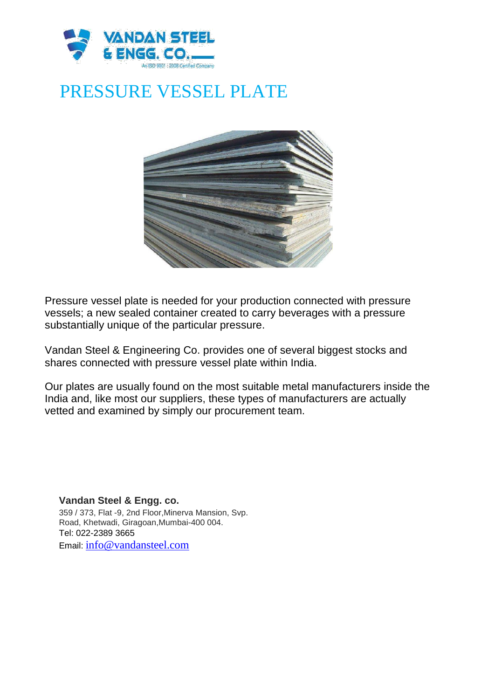

## PRESSURE VESSEL PLATE



Pressure vessel plate is needed for your production connected with pressure vessels; a new sealed container created to carry beverages with a pressure substantially unique of the particular pressure.

Vandan Steel & Engineering Co. provides one of several biggest stocks and shares connected with pressure vessel plate within India.

Our plates are usually found on the most suitable metal manufacturers inside the India and, like most our suppliers, these types of manufacturers are actually vetted and examined by simply our procurement team.

**Vandan Steel & Engg. co.** 359 / 373, Flat -9, 2nd Floor,Minerva Mansion, Svp. Road, Khetwadi, Giragoan,Mumbai-400 004. Tel: 022-2389 3665 Email: info@vandansteel.com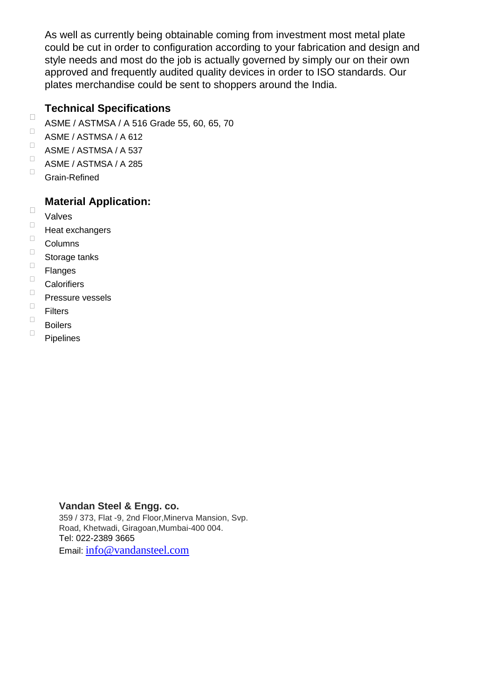As well as currently being obtainable coming from investment most metal plate could be cut in order to configuration according to your fabrication and design and style needs and most do the job is actually governed by simply our on their own approved and frequently audited quality devices in order to ISO standards. Our plates merchandise could be sent to shoppers around the India.

## **Technical Specifications**

- ASME / ASTMSA / A 516 Grade 55, 60, 65, 70
- $\Box$ ASME / ASTMSA / A 612
- $\Box$ ASME / ASTMSA / A 537
- $\Box$ ASME / ASTMSA / A 285
- $\Box$ Grain-Refined

## **Material Application:**

 $\Box$ Valves

 $\Box$ 

- $\Box$ Heat exchangers
- $\Box$ Columns
- $\Box$ Storage tanks
- $\Box$ Flanges
- $\Box$ **Calorifiers**
- $\Box$ Pressure vessels
- $\Box$ Filters
- $\Box$ Boilers  $\Box$ 
	- Pipelines

## **Vandan Steel & Engg. co.**

359 / 373, Flat -9, 2nd Floor,Minerva Mansion, Svp. Road, Khetwadi, Giragoan,Mumbai-400 004. Tel: 022-2389 3665 Email: info@vandansteel.com